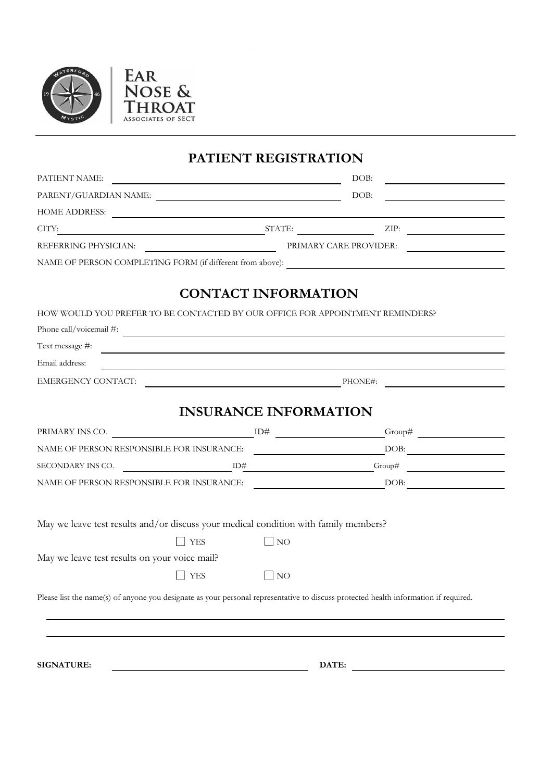



**PATIENT REGISTRATION**

| PATIENT NAME:                                                                                                                        | <u> 1989 - Johann Barbara, martxa alemaniar a</u> | DOB:                   |
|--------------------------------------------------------------------------------------------------------------------------------------|---------------------------------------------------|------------------------|
| PARENT/GUARDIAN NAME:                                                                                                                |                                                   | DOB:                   |
| HOME ADDRESS:                                                                                                                        |                                                   |                        |
| CITY:                                                                                                                                |                                                   | $STATE:$ ZIP:          |
|                                                                                                                                      |                                                   | PRIMARY CARE PROVIDER: |
|                                                                                                                                      |                                                   |                        |
|                                                                                                                                      |                                                   |                        |
|                                                                                                                                      | <b>CONTACT INFORMATION</b>                        |                        |
| HOW WOULD YOU PREFER TO BE CONTACTED BY OUR OFFICE FOR APPOINTMENT REMINDERS?                                                        |                                                   |                        |
| Phone call/voicemail $\#$ :                                                                                                          |                                                   |                        |
| Text message #:                                                                                                                      |                                                   |                        |
| Email address:                                                                                                                       |                                                   |                        |
|                                                                                                                                      |                                                   |                        |
|                                                                                                                                      |                                                   |                        |
|                                                                                                                                      | <b>INSURANCE INFORMATION</b>                      |                        |
| PRIMARY INS CO. $\qquad \qquad \qquad$ ID#                                                                                           |                                                   |                        |
|                                                                                                                                      |                                                   |                        |
| SECONDARY INS CO. $\qquad \qquad \qquad$ ID# $\qquad \qquad$ Group#                                                                  |                                                   |                        |
|                                                                                                                                      |                                                   |                        |
|                                                                                                                                      |                                                   |                        |
| May we leave test results and/or discuss your medical condition with family members?                                                 |                                                   |                        |
| <b>YES</b>                                                                                                                           | $\Box$ NO                                         |                        |
| May we leave test results on your voice mail?                                                                                        |                                                   |                        |
| $\Box$ YES                                                                                                                           | $\bigsqcup$ NO                                    |                        |
| Please list the name(s) of anyone you designate as your personal representative to discuss protected health information if required. |                                                   |                        |
|                                                                                                                                      |                                                   |                        |
|                                                                                                                                      |                                                   |                        |
|                                                                                                                                      |                                                   |                        |
| <b>SIGNATURE:</b>                                                                                                                    |                                                   | DATE:                  |
|                                                                                                                                      |                                                   |                        |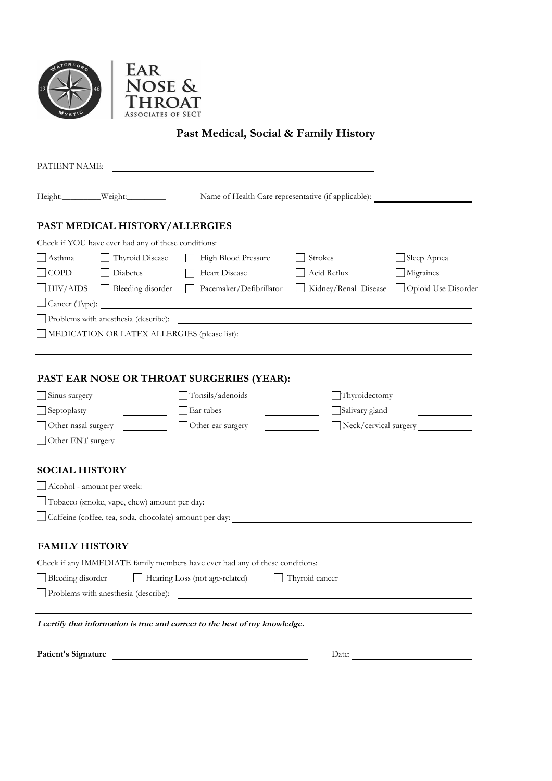

Patient's Signature



Past Medical, Social & Family History

| PATIENT NAME:         |                                                                       |                                                                              |                      |                       |  |  |
|-----------------------|-----------------------------------------------------------------------|------------------------------------------------------------------------------|----------------------|-----------------------|--|--|
|                       | Height:__________Weight:_________                                     | Name of Health Care representative (if applicable):                          |                      |                       |  |  |
|                       | PAST MEDICAL HISTORY/ALLERGIES                                        |                                                                              |                      |                       |  |  |
|                       | Check if YOU have ever had any of these conditions:                   |                                                                              |                      |                       |  |  |
| Asthma                | Thyroid Disease                                                       | High Blood Pressure                                                          | Strokes              | Sleep Apnea           |  |  |
| $\Box$ COPD           | <b>Diabetes</b>                                                       | Heart Disease                                                                | Acid Reflux          | Migraines             |  |  |
| $\Box$ HIV/AIDS       | Bleeding disorder                                                     | Pacemaker/Defibrillator                                                      | Kidney/Renal Disease | Opioid Use Disorder   |  |  |
|                       |                                                                       | $\Box$ Cancer (Type):                                                        |                      |                       |  |  |
|                       | Problems with anesthesia (describe):                                  | <u> 1989 - Andrea Stadt Britain, amerikansk politiker (</u>                  |                      |                       |  |  |
|                       |                                                                       |                                                                              |                      |                       |  |  |
|                       |                                                                       |                                                                              |                      |                       |  |  |
| Sinus surgery         |                                                                       | PAST EAR NOSE OR THROAT SURGERIES (YEAR):<br>$\Box$ Tonsils/adenoids         | Thyroidectomy        |                       |  |  |
| $\Box$ Septoplasty    |                                                                       | Ear tubes                                                                    | Salivary gland       |                       |  |  |
| Other nasal surgery   | <b>Contract Contract</b>                                              | Other ear surgery                                                            |                      | Neck/cervical surgery |  |  |
| Other ENT surgery     |                                                                       |                                                                              |                      |                       |  |  |
|                       |                                                                       |                                                                              |                      |                       |  |  |
| <b>SOCIAL HISTORY</b> |                                                                       |                                                                              |                      |                       |  |  |
|                       |                                                                       |                                                                              |                      |                       |  |  |
|                       | □ Tobacco (smoke, vape, chew) amount per day:                         |                                                                              |                      |                       |  |  |
|                       |                                                                       | Caffeine (coffee, tea, soda, chocolate) amount per day:                      |                      |                       |  |  |
|                       |                                                                       |                                                                              |                      |                       |  |  |
| <b>FAMILY HISTORY</b> |                                                                       |                                                                              |                      |                       |  |  |
|                       |                                                                       | Check if any IMMEDIATE family members have ever had any of these conditions: |                      |                       |  |  |
|                       | Bleeding disorder<br>Hearing Loss (not age-related)<br>Thyroid cancer |                                                                              |                      |                       |  |  |
|                       | Problems with anesthesia (describe):                                  |                                                                              |                      |                       |  |  |
|                       |                                                                       |                                                                              |                      |                       |  |  |
|                       |                                                                       | I certify that information is true and correct to the best of my knowledge.  |                      |                       |  |  |

Date: